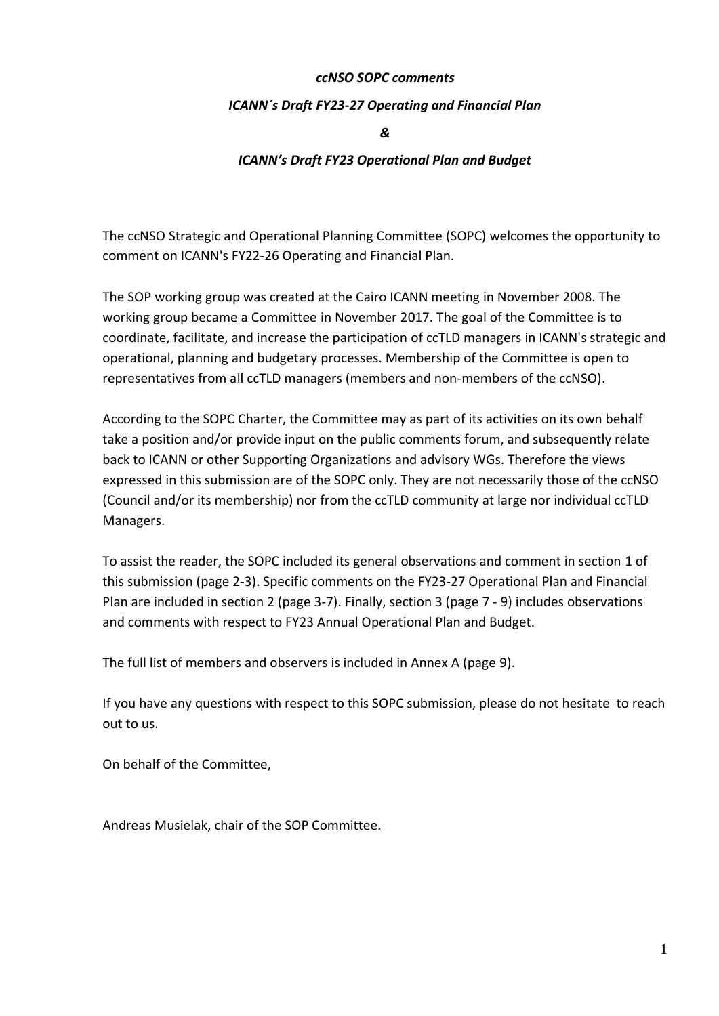#### *ccNSO SOPC comments*

#### *ICANN´s Draft FY23-27 Operating and Financial Plan*

*&*

#### *ICANN's Draft FY23 Operational Plan and Budget*

The ccNSO Strategic and Operational Planning Committee (SOPC) welcomes the opportunity to comment on ICANN's FY22-26 Operating and Financial Plan.

The SOP working group was created at the Cairo ICANN meeting in November 2008. The working group became a Committee in November 2017. The goal of the Committee is to coordinate, facilitate, and increase the participation of ccTLD managers in ICANN's strategic and operational, planning and budgetary processes. Membership of the Committee is open to representatives from all ccTLD managers (members and non-members of the ccNSO).

According to the SOPC Charter, the Committee may as part of its activities on its own behalf take a position and/or provide input on the public comments forum, and subsequently relate back to ICANN or other Supporting Organizations and advisory WGs. Therefore the views expressed in this submission are of the SOPC only. They are not necessarily those of the ccNSO (Council and/or its membership) nor from the ccTLD community at large nor individual ccTLD Managers.

To assist the reader, the SOPC included its general observations and comment in section 1 of this submission (page 2-3). Specific comments on the FY23-27 Operational Plan and Financial Plan are included in section 2 (page 3-7). Finally, section 3 (page 7 - 9) includes observations and comments with respect to FY23 Annual Operational Plan and Budget.

The full list of members and observers is included in Annex A (page 9).

If you have any questions with respect to this SOPC submission, please do not hesitate to reach out to us.

On behalf of the Committee,

Andreas Musielak, chair of the SOP Committee.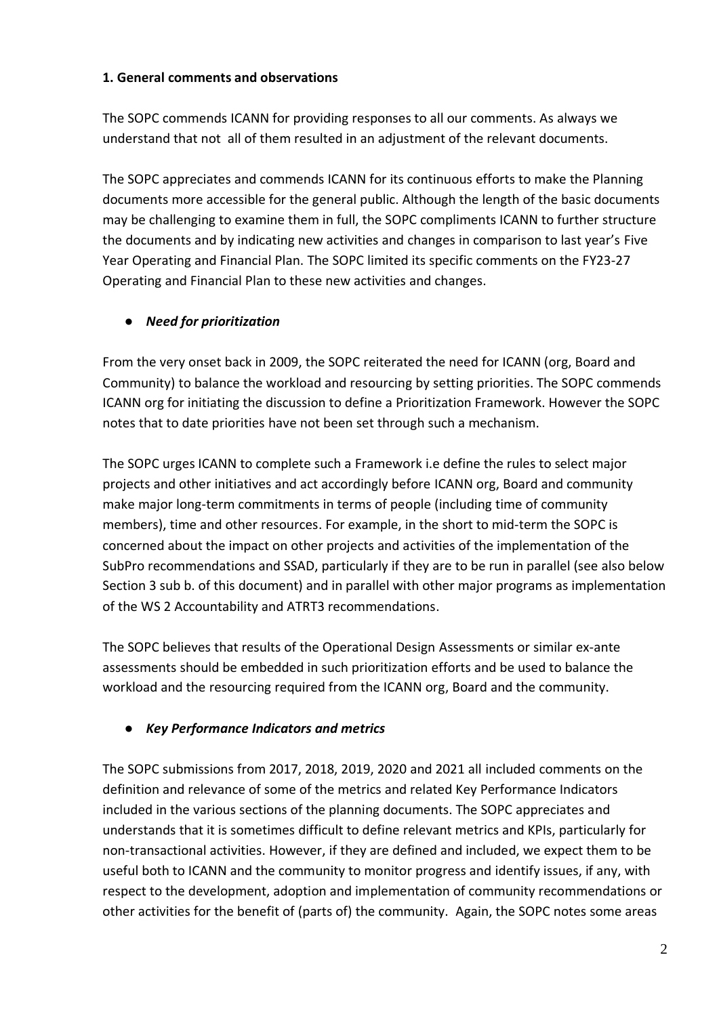### **1. General comments and observations**

The SOPC commends ICANN for providing responses to all our comments. As always we understand that not all of them resulted in an adjustment of the relevant documents.

The SOPC appreciates and commends ICANN for its continuous efforts to make the Planning documents more accessible for the general public. Although the length of the basic documents may be challenging to examine them in full, the SOPC compliments ICANN to further structure the documents and by indicating new activities and changes in comparison to last year's Five Year Operating and Financial Plan. The SOPC limited its specific comments on the FY23-27 Operating and Financial Plan to these new activities and changes.

# ● *Need for prioritization*

From the very onset back in 2009, the SOPC reiterated the need for ICANN (org, Board and Community) to balance the workload and resourcing by setting priorities. The SOPC commends ICANN org for initiating the discussion to define a Prioritization Framework. However the SOPC notes that to date priorities have not been set through such a mechanism.

The SOPC urges ICANN to complete such a Framework i.e define the rules to select major projects and other initiatives and act accordingly before ICANN org, Board and community make major long-term commitments in terms of people (including time of community members), time and other resources. For example, in the short to mid-term the SOPC is concerned about the impact on other projects and activities of the implementation of the SubPro recommendations and SSAD, particularly if they are to be run in parallel (see also below Section 3 sub b. of this document) and in parallel with other major programs as implementation of the WS 2 Accountability and ATRT3 recommendations.

The SOPC believes that results of the Operational Design Assessments or similar ex-ante assessments should be embedded in such prioritization efforts and be used to balance the workload and the resourcing required from the ICANN org, Board and the community.

## ● *Key Performance Indicators and metrics*

The SOPC submissions from 2017, 2018, 2019, 2020 and 2021 all included comments on the definition and relevance of some of the metrics and related Key Performance Indicators included in the various sections of the planning documents. The SOPC appreciates and understands that it is sometimes difficult to define relevant metrics and KPIs, particularly for non-transactional activities. However, if they are defined and included, we expect them to be useful both to ICANN and the community to monitor progress and identify issues, if any, with respect to the development, adoption and implementation of community recommendations or other activities for the benefit of (parts of) the community. Again, the SOPC notes some areas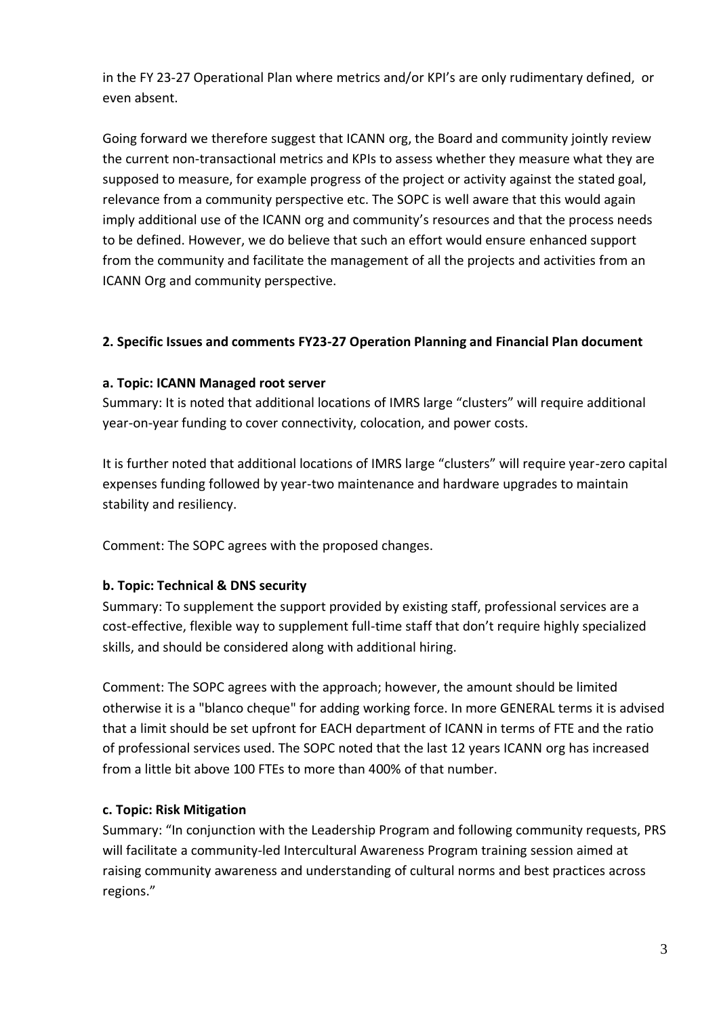in the FY 23-27 Operational Plan where metrics and/or KPI's are only rudimentary defined, or even absent.

Going forward we therefore suggest that ICANN org, the Board and community jointly review the current non-transactional metrics and KPIs to assess whether they measure what they are supposed to measure, for example progress of the project or activity against the stated goal, relevance from a community perspective etc. The SOPC is well aware that this would again imply additional use of the ICANN org and community's resources and that the process needs to be defined. However, we do believe that such an effort would ensure enhanced support from the community and facilitate the management of all the projects and activities from an ICANN Org and community perspective.

## **2. Specific Issues and comments FY23-27 Operation Planning and Financial Plan document**

### **a. Topic: ICANN Managed root server**

Summary: It is noted that additional locations of IMRS large "clusters" will require additional year-on-year funding to cover connectivity, colocation, and power costs.

It is further noted that additional locations of IMRS large "clusters" will require year-zero capital expenses funding followed by year-two maintenance and hardware upgrades to maintain stability and resiliency.

Comment: The SOPC agrees with the proposed changes.

## **b. Topic: Technical & DNS security**

Summary: To supplement the support provided by existing staff, professional services are a cost-effective, flexible way to supplement full-time staff that don't require highly specialized skills, and should be considered along with additional hiring.

Comment: The SOPC agrees with the approach; however, the amount should be limited otherwise it is a "blanco cheque" for adding working force. In more GENERAL terms it is advised that a limit should be set upfront for EACH department of ICANN in terms of FTE and the ratio of professional services used. The SOPC noted that the last 12 years ICANN org has increased from a little bit above 100 FTEs to more than 400% of that number.

#### **c. Topic: Risk Mitigation**

Summary: "In conjunction with the Leadership Program and following community requests, PRS will facilitate a community-led Intercultural Awareness Program training session aimed at raising community awareness and understanding of cultural norms and best practices across regions."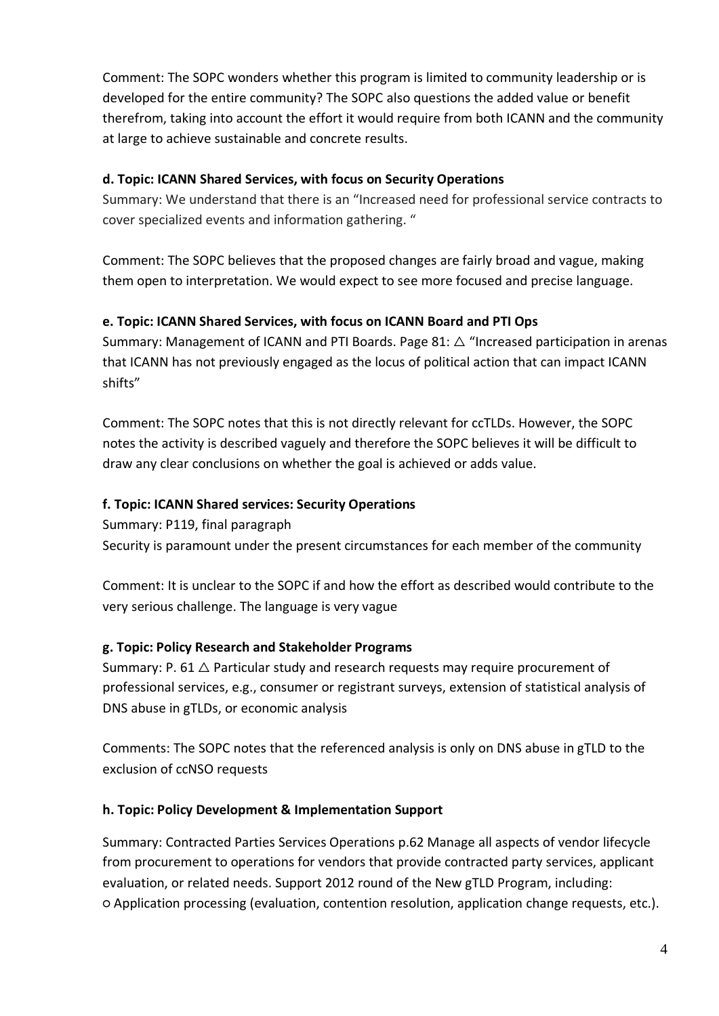Comment: The SOPC wonders whether this program is limited to community leadership or is developed for the entire community? The SOPC also questions the added value or benefit therefrom, taking into account the effort it would require from both ICANN and the community at large to achieve sustainable and concrete results.

### **d. Topic: ICANN Shared Services, with focus on Security Operations**

Summary: We understand that there is an "Increased need for professional service contracts to cover specialized events and information gathering. "

Comment: The SOPC believes that the proposed changes are fairly broad and vague, making them open to interpretation. We would expect to see more focused and precise language.

### **e. Topic: ICANN Shared Services, with focus on ICANN Board and PTI Ops**

Summary: Management of ICANN and PTI Boards. Page 81:  $\triangle$  "Increased participation in arenas that ICANN has not previously engaged as the locus of political action that can impact ICANN shifts"

Comment: The SOPC notes that this is not directly relevant for ccTLDs. However, the SOPC notes the activity is described vaguely and therefore the SOPC believes it will be difficult to draw any clear conclusions on whether the goal is achieved or adds value.

### **f. Topic: ICANN Shared services: Security Operations**

Summary: P119, final paragraph Security is paramount under the present circumstances for each member of the community

Comment: It is unclear to the SOPC if and how the effort as described would contribute to the very serious challenge. The language is very vague

## **g. Topic: Policy Research and Stakeholder Programs**

Summary: P. 61  $\triangle$  Particular study and research requests may require procurement of professional services, e.g., consumer or registrant surveys, extension of statistical analysis of DNS abuse in gTLDs, or economic analysis

Comments: The SOPC notes that the referenced analysis is only on DNS abuse in gTLD to the exclusion of ccNSO requests

#### **h. Topic: Policy Development & Implementation Support**

Summary: Contracted Parties Services Operations p.62 Manage all aspects of vendor lifecycle from procurement to operations for vendors that provide contracted party services, applicant evaluation, or related needs. Support 2012 round of the New gTLD Program, including: ○ Application processing (evaluation, contention resolution, application change requests, etc.).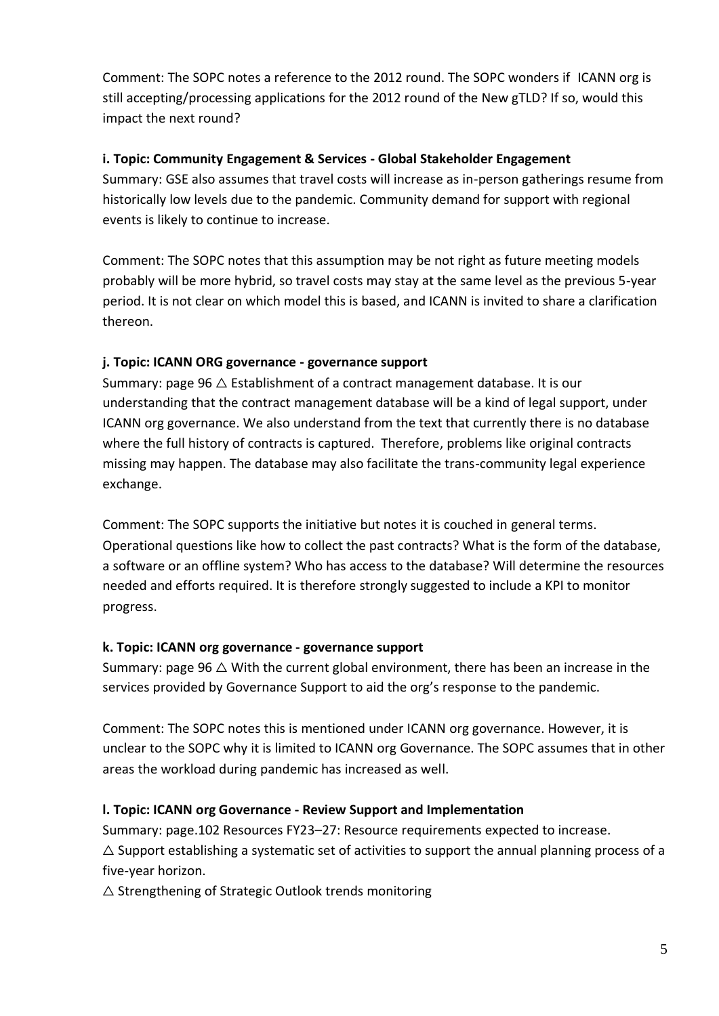Comment: The SOPC notes a reference to the 2012 round. The SOPC wonders if [ICANN](http://icann.org/) org is still accepting/processing applications for the 2012 round of the New gTLD? If so, would this impact the next round?

## **i. Topic: Community Engagement & Services - Global Stakeholder Engagement**

Summary: GSE also assumes that travel costs will increase as in-person gatherings resume from historically low levels due to the pandemic. Community demand for support with regional events is likely to continue to increase.

Comment: The SOPC notes that this assumption may be not right as future meeting models probably will be more hybrid, so travel costs may stay at the same level as the previous 5-year period. It is not clear on which model this is based, and ICANN is invited to share a clarification thereon.

## **j. Topic: ICANN ORG governance - governance support**

Summary: page 96  $\triangle$  Establishment of a contract management database. It is our understanding that the contract management database will be a kind of legal support, under ICANN org governance. We also understand from the text that currently there is no database where the full history of contracts is captured. Therefore, problems like original contracts missing may happen. The database may also facilitate the trans-community legal experience exchange.

Comment: The SOPC supports the initiative but notes it is couched in general terms. Operational questions like how to collect the past contracts? What is the form of the database, a software or an offline system? Who has access to the database? Will determine the resources needed and efforts required. It is therefore strongly suggested to include a KPI to monitor progress.

## **k. Topic: ICANN org governance - governance support**

Summary: page 96  $\triangle$  With the current global environment, there has been an increase in the services provided by Governance Support to aid the org's response to the pandemic.

Comment: The SOPC notes this is mentioned under ICANN org governance. However, it is unclear to the SOPC why it is limited to ICANN org Governance. The SOPC assumes that in other areas the workload during pandemic has increased as well.

# **l. Topic: ICANN org Governance - Review Support and Implementation**

Summary: page.102 Resources FY23–27: Resource requirements expected to increase.  $\triangle$  Support establishing a systematic set of activities to support the annual planning process of a five-year horizon.

 $\triangle$  Strengthening of Strategic Outlook trends monitoring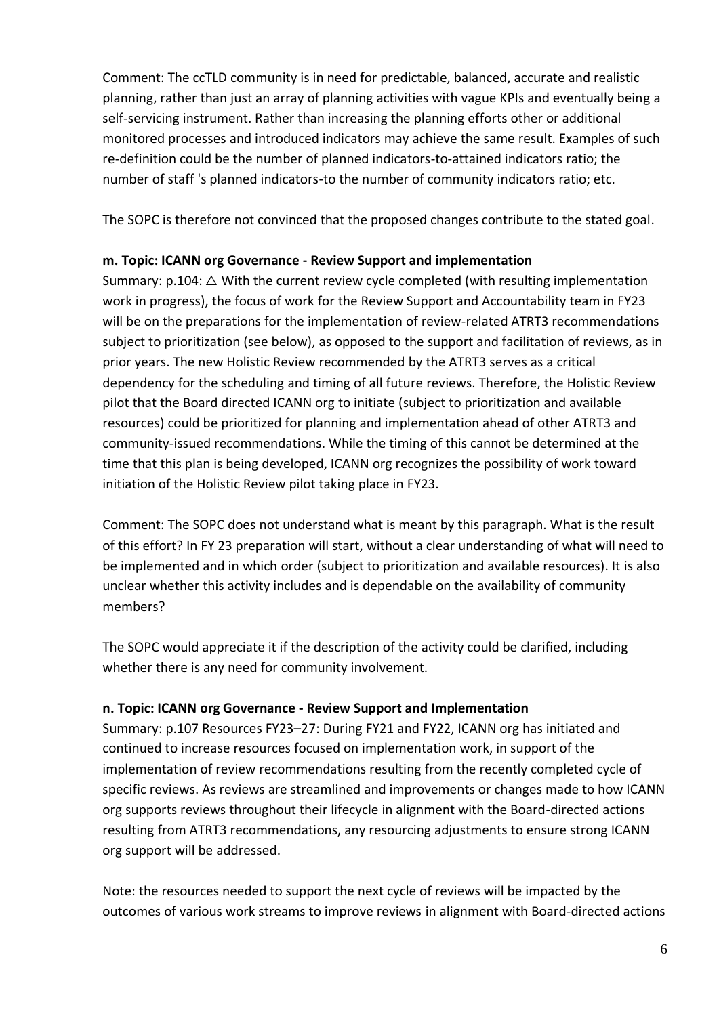Comment: The ccTLD community is in need for predictable, balanced, accurate and realistic planning, rather than just an array of planning activities with vague KPIs and eventually being a self-servicing instrument. Rather than increasing the planning efforts other or additional monitored processes and introduced indicators may achieve the same result. Examples of such re-definition could be the number of planned indicators-to-attained indicators ratio; the number of staff 's planned indicators-to the number of community indicators ratio; etc.

The SOPC is therefore not convinced that the proposed changes contribute to the stated goal.

### **m. Topic: ICANN org Governance - Review Support and implementation**

Summary:  $p.104: \triangle$  With the current review cycle completed (with resulting implementation work in progress), the focus of work for the Review Support and Accountability team in FY23 will be on the preparations for the implementation of review-related ATRT3 recommendations subject to prioritization (see below), as opposed to the support and facilitation of reviews, as in prior years. The new Holistic Review recommended by the ATRT3 serves as a critical dependency for the scheduling and timing of all future reviews. Therefore, the Holistic Review pilot that the Board directed ICANN org to initiate (subject to prioritization and available resources) could be prioritized for planning and implementation ahead of other ATRT3 and community-issued recommendations. While the timing of this cannot be determined at the time that this plan is being developed, ICANN org recognizes the possibility of work toward initiation of the Holistic Review pilot taking place in FY23.

Comment: The SOPC does not understand what is meant by this paragraph. What is the result of this effort? In FY 23 preparation will start, without a clear understanding of what will need to be implemented and in which order (subject to prioritization and available resources). It is also unclear whether this activity includes and is dependable on the availability of community members?

The SOPC would appreciate it if the description of the activity could be clarified, including whether there is any need for community involvement.

#### **n. Topic: ICANN org Governance - Review Support and Implementation**

Summary: p.107 Resources FY23–27: During FY21 and FY22, ICANN org has initiated and continued to increase resources focused on implementation work, in support of the implementation of review recommendations resulting from the recently completed cycle of specific reviews. As reviews are streamlined and improvements or changes made to how ICANN org supports reviews throughout their lifecycle in alignment with the Board-directed actions resulting from ATRT3 recommendations, any resourcing adjustments to ensure strong ICANN org support will be addressed.

Note: the resources needed to support the next cycle of reviews will be impacted by the outcomes of various work streams to improve reviews in alignment with Board-directed actions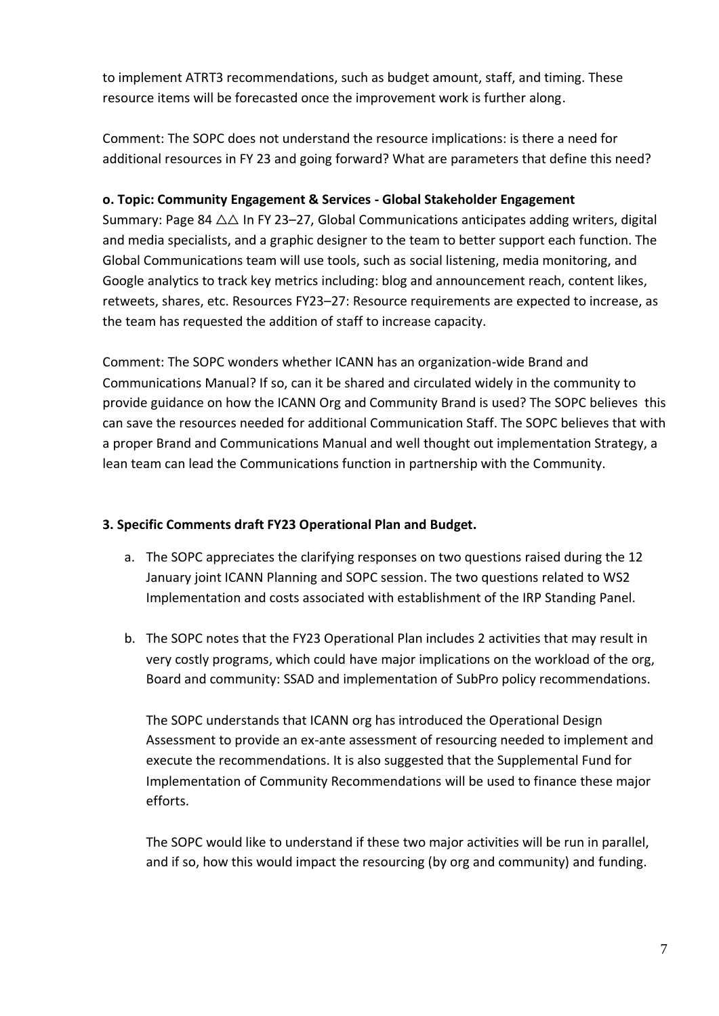to implement ATRT3 recommendations, such as budget amount, staff, and timing. These resource items will be forecasted once the improvement work is further along.

Comment: The SOPC does not understand the resource implications: is there a need for additional resources in FY 23 and going forward? What are parameters that define this need?

## **o. Topic: Community Engagement & Services - Global Stakeholder Engagement**

Summary: Page 84  $\triangle \triangle$  In FY 23–27, Global Communications anticipates adding writers, digital and media specialists, and a graphic designer to the team to better support each function. The Global Communications team will use tools, such as social listening, media monitoring, and Google analytics to track key metrics including: blog and announcement reach, content likes, retweets, shares, etc. Resources FY23–27: Resource requirements are expected to increase, as the team has requested the addition of staff to increase capacity.

Comment: The SOPC wonders whether ICANN has an organization-wide Brand and Communications Manual? If so, can it be shared and circulated widely in the community to provide guidance on how the ICANN Org and Community Brand is used? The SOPC believes this can save the resources needed for additional Communication Staff. The SOPC believes that with a proper Brand and Communications Manual and well thought out implementation Strategy, a lean team can lead the Communications function in partnership with the Community.

## **3. Specific Comments draft FY23 Operational Plan and Budget.**

- a. The SOPC appreciates the clarifying responses on two questions raised during the 12 January joint ICANN Planning and SOPC session. The two questions related to WS2 Implementation and costs associated with establishment of the IRP Standing Panel.
- b. The SOPC notes that the FY23 Operational Plan includes 2 activities that may result in very costly programs, which could have major implications on the workload of the org, Board and community: SSAD and implementation of SubPro policy recommendations.

The SOPC understands that ICANN org has introduced the Operational Design Assessment to provide an ex-ante assessment of resourcing needed to implement and execute the recommendations. It is also suggested that the Supplemental Fund for Implementation of Community Recommendations will be used to finance these major efforts.

The SOPC would like to understand if these two major activities will be run in parallel, and if so, how this would impact the resourcing (by org and community) and funding.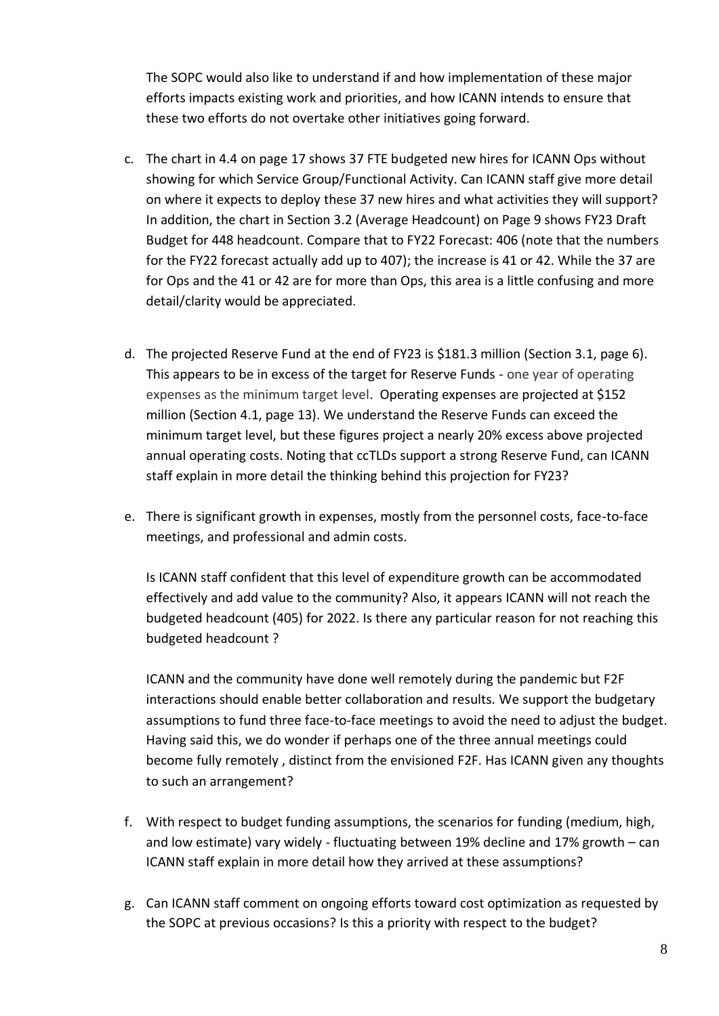The SOPC would also like to understand if and how implementation of these major efforts impacts existing work and priorities, and how ICANN intends to ensure that these two efforts do not overtake other initiatives going forward.

- c. The chart in 4.4 on page 17 shows 37 FTE budgeted new hires for ICANN Ops without showing for which Service Group/Functional Activity. Can ICANN staff give more detail on where it expects to deploy these 37 new hires and what activities they will support? In addition, the chart in Section 3.2 (Average Headcount) on Page 9 shows FY23 Draft Budget for 448 headcount. Compare that to FY22 Forecast: 406 (note that the numbers for the FY22 forecast actually add up to 407); the increase is 41 or 42. While the 37 are for Ops and the 41 or 42 are for more than Ops, this area is a little confusing and more detail/clarity would be appreciated.
- d. The projected Reserve Fund at the end of FY23 is \$181.3 million (Section 3.1, page 6). This appears to be in excess of the target for Reserve Funds - one year of operating expenses as the minimum target level. Operating expenses are projected at \$152 million (Section 4.1, page 13). We understand the Reserve Funds can exceed the minimum target level, but these figures project a nearly 20% excess above projected annual operating costs. Noting that ccTLDs support a strong Reserve Fund, can ICANN staff explain in more detail the thinking behind this projection for FY23?
- e. There is significant growth in expenses, mostly from the personnel costs, face-to-face meetings, and professional and admin costs.

Is ICANN staff confident that this level of expenditure growth can be accommodated effectively and add value to the community? Also, it appears ICANN will not reach the budgeted headcount (405) for 2022. Is there any particular reason for not reaching this budgeted headcount ?

ICANN and the community have done well remotely during the pandemic but F2F interactions should enable better collaboration and results. We support the budgetary assumptions to fund three face-to-face meetings to avoid the need to adjust the budget. Having said this, we do wonder if perhaps one of the three annual meetings could become fully remotely , distinct from the envisioned F2F. Has ICANN given any thoughts to such an arrangement?

- f. With respect to budget funding assumptions, the scenarios for funding (medium, high, and low estimate) vary widely - fluctuating between 19% decline and 17% growth – can ICANN staff explain in more detail how they arrived at these assumptions?
- g. Can ICANN staff comment on ongoing efforts toward cost optimization as requested by the SOPC at previous occasions? Is this a priority with respect to the budget?